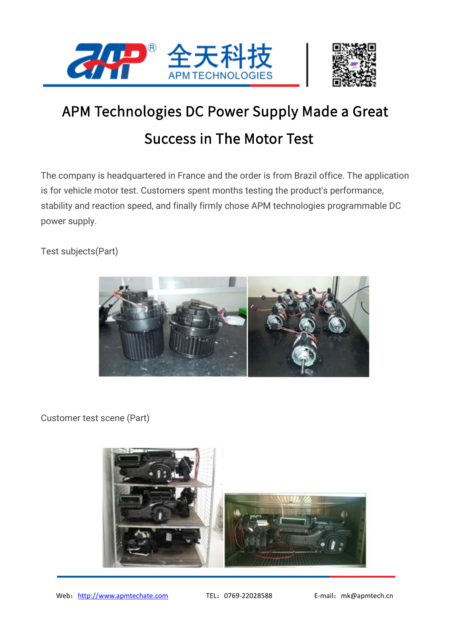



## APM Technologies DC Power Supply Made a Great Success in The Motor Test

The company is headquartered in France and the order is from Brazil office. The application is for vehicle motor test. Customers spent months testing the product's performance, stability and reaction speed, and finally firmly chose APM technologies programmable DC power supply.

Test subjects(Part)



Customer test scene (Part)

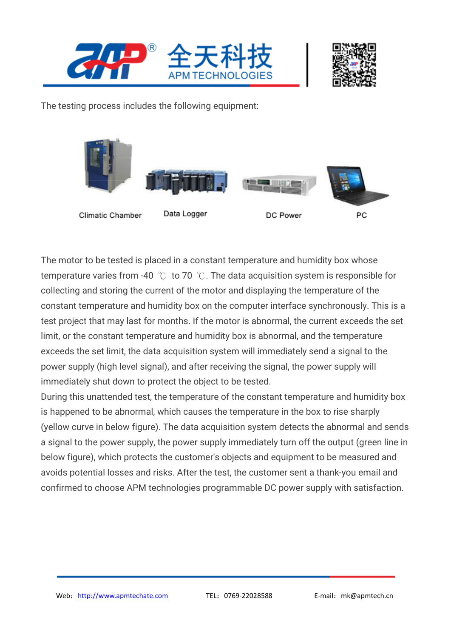



The testing process includes the following equipment:



The motor to be tested is placed in a constant temperature and humidity box whose temperature varies from -40 ℃ to 70 ℃. The data acquisition system is responsible for collecting and storing the current of the motor and displaying the temperature of the constant temperature and humidity box on the computer interface synchronously. This is a test project that may last for months. If the motor is abnormal, the current exceeds the set limit, or the constant temperature and humidity box is abnormal, and the temperature exceeds the set limit, the data acquisition system will immediately send a signal to the power supply (high level signal), and after receiving the signal, the power supply will immediately shut down to protect the object to be tested.

During this unattended test, the temperature of the constant temperature and humidity box is happened to be abnormal, which causes the temperature in the box to rise sharply (yellow curve in below figure). The data acquisition system detects the abnormal and sends a signal to the power supply, the power supply immediately turn off the output (green line in below figure), which protects the customer's objects and equipment to be measured and avoids potential losses and risks. After the test, the customer sent a thank-you email and confirmed to choose APM technologies programmable DC power supply with satisfaction.